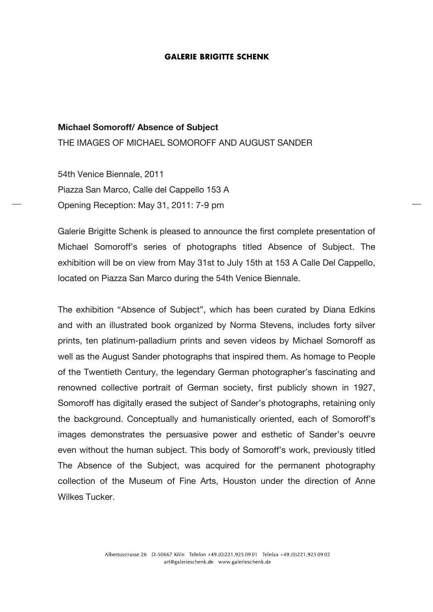#### **GALERIE BRIGITTE SCHENK**

# **Michael Somoroff/ Absence of Subject**

THE IMAGES OF MICHAEL SOMOROFF AND AUGUST SANDER

54th Venice Biennale, 2011 Piazza San Marco, Calle del Cappello 153 A Opening Reception: May 31, 2011: 7-9 pm

Galerie Brigitte Schenk is pleased to announce the first complete presentation of Michael Somoroff's series of photographs titled Absence of Subject. The exhibition will be on view from May 31st to July 15th at 153 A Calle Del Cappello, located on Piazza San Marco during the 54th Venice Biennale.

The exhibition "Absence of Subject", which has been curated by Diana Edkins and with an illustrated book organized by Norma Stevens, includes forty silver prints, ten platinum-palladium prints and seven videos by Michael Somoroff as well as the August Sander photographs that inspired them. As homage to People of the Twentieth Century, the legendary German photographer's fascinating and renowned collective portrait of German society, first publicly shown in 1927, Somoroff has digitally erased the subject of Sander's photographs, retaining only the background. Conceptually and humanistically oriented, each of Somoroff's images demonstrates the persuasive power and esthetic of Sander's oeuvre even without the human subject. This body of Somoroff's work, previously titled The Absence of the Subject, was acquired for the permanent photography collection of the Museum of Fine Arts, Houston under the direction of Anne Wilkes Tucker.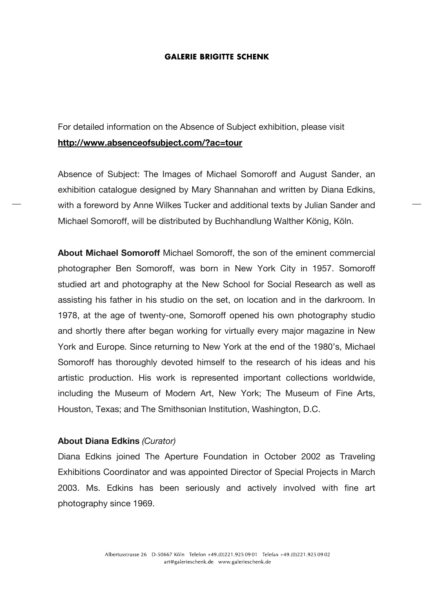#### **GALERIE BRIGITTE SCHENK**

For detailed information on the Absence of Subject exhibition, please visit **http://www.absenceofsubject.com/?ac=tour**

Absence of Subject: The Images of Michael Somoroff and August Sander, an exhibition catalogue designed by Mary Shannahan and written by Diana Edkins, with a foreword by Anne Wilkes Tucker and additional texts by Julian Sander and Michael Somoroff, will be distributed by Buchhandlung Walther König, Köln.

**About Michael Somoroff** Michael Somoroff, the son of the eminent commercial photographer Ben Somoroff, was born in New York City in 1957. Somoroff studied art and photography at the New School for Social Research as well as assisting his father in his studio on the set, on location and in the darkroom. In 1978, at the age of twenty-one, Somoroff opened his own photography studio and shortly there after began working for virtually every major magazine in New York and Europe. Since returning to New York at the end of the 1980's, Michael Somoroff has thoroughly devoted himself to the research of his ideas and his artistic production. His work is represented important collections worldwide, including the Museum of Modern Art, New York; The Museum of Fine Arts, Houston, Texas; and The Smithsonian Institution, Washington, D.C.

## **About Diana Edkins** *(Curator)*

Diana Edkins joined The Aperture Foundation in October 2002 as Traveling Exhibitions Coordinator and was appointed Director of Special Projects in March 2003. Ms. Edkins has been seriously and actively involved with fine art photography since 1969.